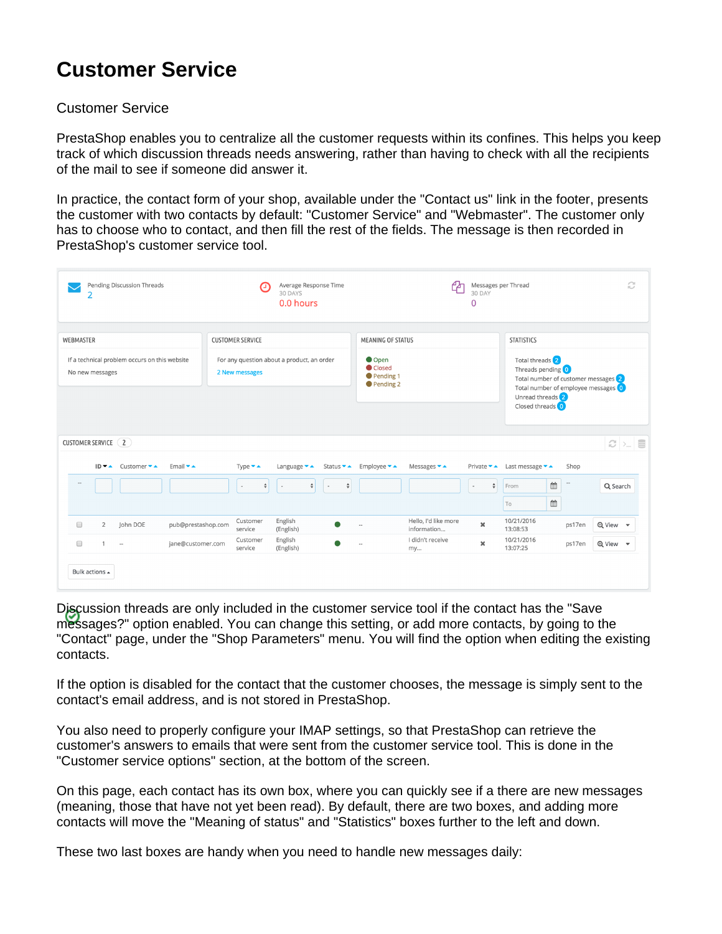# **Customer Service**

## Customer Service

PrestaShop enables you to centralize all the customer requests within its confines. This helps you keep track of which discussion threads needs answering, rather than having to check with all the recipients of the mail to see if someone did answer it.

In practice, the contact form of your shop, available under the "Contact us" link in the footer, presents the customer with two contacts by default: "Customer Service" and "Webmaster". The customer only has to choose who to contact, and then fill the rest of the fields. The message is then recorded in PrestaShop's customer service tool.

| Pending Discussion Threads<br>2                                        | Average Response Time<br>30 DAYS<br>0.0 hours                                                                                                  |                                                                                   | Messages per Thread<br>30 DAY<br>0                                                                                                          | C                                                                                                                                                                                               |
|------------------------------------------------------------------------|------------------------------------------------------------------------------------------------------------------------------------------------|-----------------------------------------------------------------------------------|---------------------------------------------------------------------------------------------------------------------------------------------|-------------------------------------------------------------------------------------------------------------------------------------------------------------------------------------------------|
| <b>WEBMASTER</b>                                                       | <b>CUSTOMER SERVICE</b>                                                                                                                        | <b>MEANING OF STATUS</b>                                                          |                                                                                                                                             | <b>STATISTICS</b>                                                                                                                                                                               |
| If a technical problem occurs on this website<br>No new messages       | For any question about a product, an order<br>2 New messages                                                                                   | Open<br>Closed<br>Pending 1<br>Pending 2                                          |                                                                                                                                             | Total threads <sup>2</sup><br>Threads pending 0<br>Total number of customer messages (2)<br>Total number of employee messages 0<br>Unread threads <sup>2</sup><br>Closed threads <sup>(0)</sup> |
| CUSTOMER SERVICE (2)                                                   |                                                                                                                                                |                                                                                   |                                                                                                                                             | C > S                                                                                                                                                                                           |
| $ID - $ Customer $ - $<br>Email $\blacktriangleright$ $\blacktriangle$ | Type $\bullet$ $\bullet$<br>Language $\bullet$ $\bullet$<br>$\overset{\mathtt{a}}{\mathtt{v}}$<br>$\div$<br>$\overline{\phantom{a}}$<br>$\sim$ | Employee $\blacktriangleright$ $\blacktriangle$<br>Status ▼ ▲<br>$\div$<br>$\sim$ | Messages $\blacktriangleright$ $\blacktriangle$<br>Private ▼▲ Last message ▼▲<br>$\overset{\mathtt{A}}{\mathtt{v}}$<br>From<br>$\sim$<br>To | Shop<br>$\mathbb{B}$<br>$\sim$<br>Q Search<br>$\mathop{^{\text{\tiny{43}}}}\limits$                                                                                                             |
| pub@prestashop.com<br>$\overline{2}$<br>John DOE<br>$\Box$             | English<br>Customer<br>(English)<br>service                                                                                                    | $\overline{a}$                                                                    | Hello, I'd like more<br>10/21/2016<br>$\mathbf x$<br>information<br>13:08:53                                                                | <b>Q</b> View<br>ps17en                                                                                                                                                                         |
| iane@customer.com<br>$\Box$<br>1<br>$\sim$                             | English<br>Customer<br>(English)<br>service                                                                                                    | my                                                                                | I didn't receive<br>10/21/2016<br>$\pmb{\times}$<br>13:07:25                                                                                | ps17en<br>Q View -                                                                                                                                                                              |
| Bulk actions $\triangle$                                               |                                                                                                                                                |                                                                                   |                                                                                                                                             |                                                                                                                                                                                                 |

Discussion threads are only included in the customer service tool if the contact has the "Save messages?" option enabled. You can change this setting, or add more contacts, by going to the "Contact" page, under the "Shop Parameters" menu. You will find the option when editing the existing contacts.

If the option is disabled for the contact that the customer chooses, the message is simply sent to the contact's email address, and is not stored in PrestaShop.

You also need to properly configure your IMAP settings, so that PrestaShop can retrieve the customer's answers to emails that were sent from the customer service tool. This is done in the "Customer service options" section, at the bottom of the screen.

On this page, each contact has its own box, where you can quickly see if a there are new messages (meaning, those that have not yet been read). By default, there are two boxes, and adding more contacts will move the "Meaning of status" and "Statistics" boxes further to the left and down.

These two last boxes are handy when you need to handle new messages daily: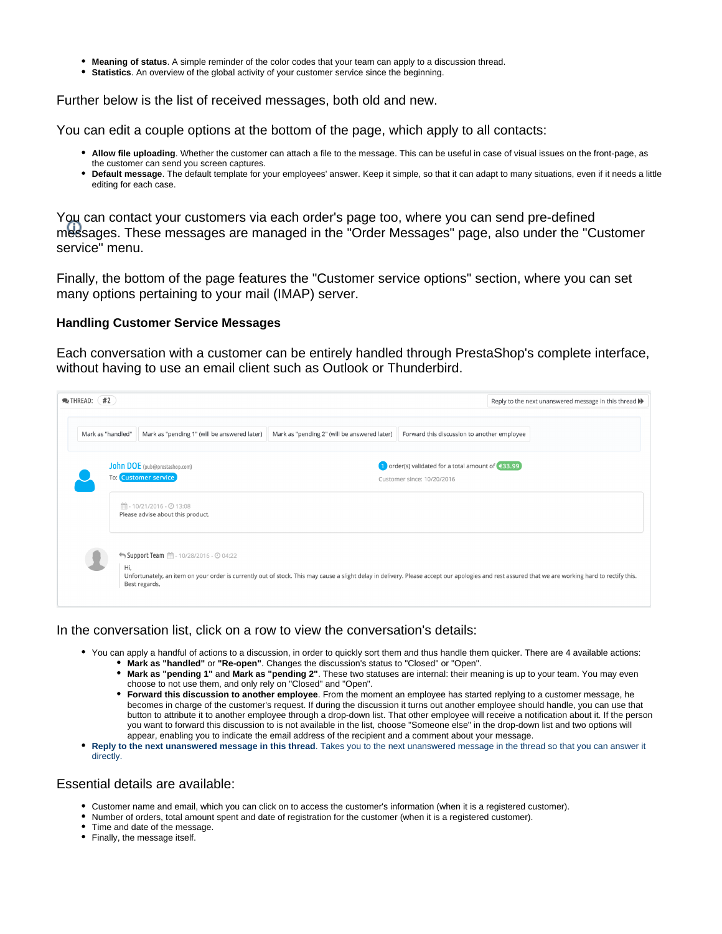- **Meaning of status**. A simple reminder of the color codes that your team can apply to a discussion thread.
- **Statistics**. An overview of the global activity of your customer service since the beginning.

Further below is the list of received messages, both old and new.

You can edit a couple options at the bottom of the page, which apply to all contacts:

- **Allow file uploading**. Whether the customer can attach a file to the message. This can be useful in case of visual issues on the front-page, as the customer can send you screen captures.
- **Default message**. The default template for your employees' answer. Keep it simple, so that it can adapt to many situations, even if it needs a little editing for each case.

You can contact your customers via each order's page too, where you can send pre-defined messages. These messages are managed in the "Order Messages" page, also under the "Customer service" menu.

Finally, the bottom of the page features the "Customer service options" section, where you can set many options pertaining to your mail (IMAP) server.

#### **Handling Customer Service Messages**

Each conversation with a customer can be entirely handled through PrestaShop's complete interface, without having to use an email client such as Outlook or Thunderbird.

|                   |                                                              |                                              |                                                                                 | Reply to the next unanswered message in this thread $\blacktriangleright$ |
|-------------------|--------------------------------------------------------------|----------------------------------------------|---------------------------------------------------------------------------------|---------------------------------------------------------------------------|
| Mark as "handled" | Mark as "pending 1" (will be answered later)                 | Mark as "pending 2" (will be answered later) | Forward this discussion to another employee                                     |                                                                           |
|                   | John DOE (pub@prestashop.com)<br><b>To: Customer service</b> |                                              | 1 order(s) validated for a total amount of €33.99<br>Customer since: 10/20/2016 |                                                                           |
|                   | ■-10/21/2016 - ⊙ 13:08<br>Please advise about this product.  |                                              |                                                                                 |                                                                           |
|                   |                                                              |                                              |                                                                                 |                                                                           |

In the conversation list, click on a row to view the conversation's details:

- You can apply a handful of actions to a discussion, in order to quickly sort them and thus handle them quicker. There are 4 available actions: **Mark as "handled"** or **"Re-open"**. Changes the discussion's status to "Closed" or "Open".
	- **Mark as "pending 1"** and **Mark as "pending 2"**. These two statuses are internal: their meaning is up to your team. You may even choose to not use them, and only rely on "Closed" and "Open".
	- **Forward this discussion to another employee**. From the moment an employee has started replying to a customer message, he becomes in charge of the customer's request. If during the discussion it turns out another employee should handle, you can use that button to attribute it to another employee through a drop-down list. That other employee will receive a notification about it. If the person you want to forward this discussion to is not available in the list, choose "Someone else" in the drop-down list and two options will appear, enabling you to indicate the email address of the recipient and a comment about your message.
- **Reply to the next unanswered message in this thread**. Takes you to the next unanswered message in the thread so that you can answer it directly.

### Essential details are available:

- Customer name and email, which you can click on to access the customer's information (when it is a registered customer).
- Number of orders, total amount spent and date of registration for the customer (when it is a registered customer).
- Time and date of the message.
- Finally, the message itself.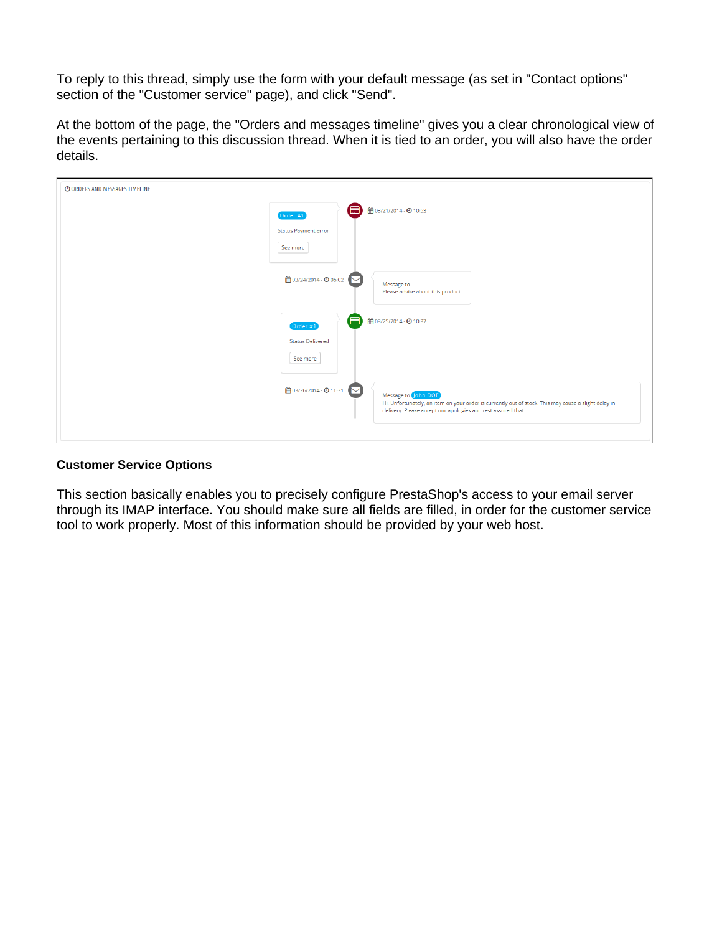To reply to this thread, simply use the form with your default message (as set in "Contact options" section of the "Customer service" page), and click "Send".

At the bottom of the page, the "Orders and messages timeline" gives you a clear chronological view of the events pertaining to this discussion thread. When it is tied to an order, you will also have the order details.

| © ORDERS AND MESSAGES TIMELINE |                                                                                                                                                                                                                      |
|--------------------------------|----------------------------------------------------------------------------------------------------------------------------------------------------------------------------------------------------------------------|
|                                | ■ 03/21/2014 - ⊙ 10:53<br>僵<br>Order #1<br>Status Payment error<br>See more                                                                                                                                          |
|                                | ■ 03/24/2014 - ⊙ 06:02<br>Message to<br>Please advise about this product.                                                                                                                                            |
|                                | ■ 03/25/2014 - ⊙ 10:37<br>E<br>Order #1<br><b>Status Delivered</b><br>See more                                                                                                                                       |
|                                | ■ 03/26/2014 - ⊙ 11:31<br>Message to John DOE<br>Hi, Unfortunately, an item on your order is currently out of stock. This may cause a slight delay in<br>delivery. Please accept our apologies and rest assured that |

#### **Customer Service Options**

This section basically enables you to precisely configure PrestaShop's access to your email server through its IMAP interface. You should make sure all fields are filled, in order for the customer service tool to work properly. Most of this information should be provided by your web host.